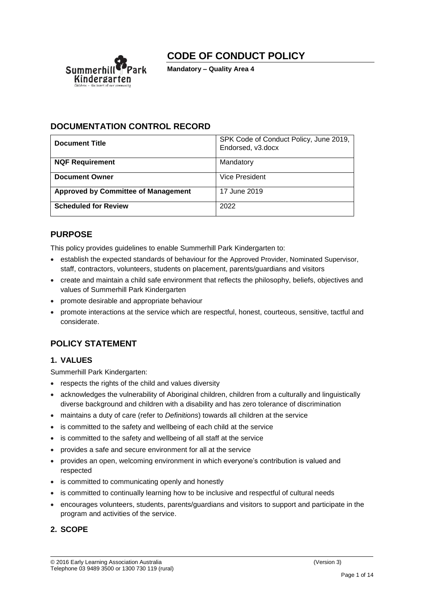# **CODE OF CONDUCT POLICY**



**Mandatory – Quality Area 4**

## **DOCUMENTATION CONTROL RECORD**

| <b>Document Title</b>                      | SPK Code of Conduct Policy, June 2019,<br>Endorsed, v3.docx |
|--------------------------------------------|-------------------------------------------------------------|
| <b>NQF Requirement</b>                     | Mandatory                                                   |
| <b>Document Owner</b>                      | Vice President                                              |
| <b>Approved by Committee of Management</b> | 17 June 2019                                                |
| <b>Scheduled for Review</b>                | 2022                                                        |

## **PURPOSE**

This policy provides guidelines to enable Summerhill Park Kindergarten to:

- establish the expected standards of behaviour for the Approved Provider, Nominated Supervisor, staff, contractors, volunteers, students on placement, parents/guardians and visitors
- create and maintain a child safe environment that reflects the philosophy, beliefs, objectives and values of Summerhill Park Kindergarten
- promote desirable and appropriate behaviour
- promote interactions at the service which are respectful, honest, courteous, sensitive, tactful and considerate.

## **POLICY STATEMENT**

#### **1. VALUES**

Summerhill Park Kindergarten:

- respects the rights of the child and values diversity
- acknowledges the vulnerability of Aboriginal children, children from a culturally and linguistically diverse background and children with a disability and has zero tolerance of discrimination
- maintains a duty of care (refer to *Definitions*) towards all children at the service
- is committed to the safety and wellbeing of each child at the service
- is committed to the safety and wellbeing of all staff at the service
- provides a safe and secure environment for all at the service
- provides an open, welcoming environment in which everyone's contribution is valued and respected
- is committed to communicating openly and honestly
- is committed to continually learning how to be inclusive and respectful of cultural needs
- encourages volunteers, students, parents/guardians and visitors to support and participate in the program and activities of the service.

## **2. SCOPE**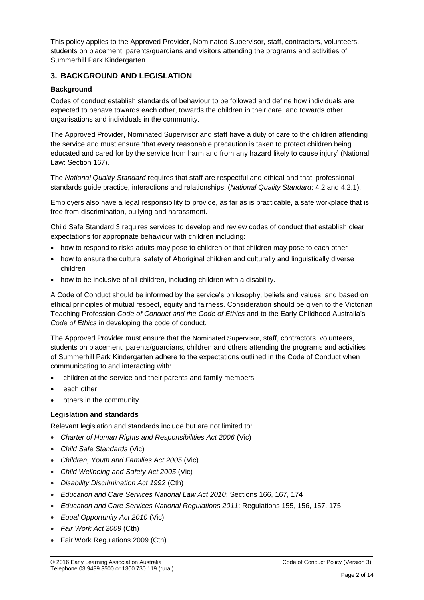This policy applies to the Approved Provider, Nominated Supervisor, staff, contractors, volunteers, students on placement, parents/guardians and visitors attending the programs and activities of Summerhill Park Kindergarten.

## **3. BACKGROUND AND LEGISLATION**

#### **Background**

Codes of conduct establish standards of behaviour to be followed and define how individuals are expected to behave towards each other, towards the children in their care, and towards other organisations and individuals in the community.

The Approved Provider, Nominated Supervisor and staff have a duty of care to the children attending the service and must ensure 'that every reasonable precaution is taken to protect children being educated and cared for by the service from harm and from any hazard likely to cause injury' (National Law: Section 167).

The *National Quality Standard* requires that staff are respectful and ethical and that 'professional standards guide practice, interactions and relationships' (*National Quality Standard*: 4.2 and 4.2.1).

Employers also have a legal responsibility to provide, as far as is practicable, a safe workplace that is free from discrimination, bullying and harassment.

Child Safe Standard 3 requires services to develop and review codes of conduct that establish clear expectations for appropriate behaviour with children including:

- how to respond to risks adults may pose to children or that children may pose to each other
- how to ensure the cultural safety of Aboriginal children and culturally and linguistically diverse children
- how to be inclusive of all children, including children with a disability.

A Code of Conduct should be informed by the service's philosophy, beliefs and values, and based on ethical principles of mutual respect, equity and fairness. Consideration should be given to the Victorian Teaching Profession *Code of Conduct and the Code of Ethics* and to the Early Childhood Australia's *Code of Ethics* in developing the code of conduct.

The Approved Provider must ensure that the Nominated Supervisor, staff, contractors, volunteers, students on placement, parents/guardians, children and others attending the programs and activities of Summerhill Park Kindergarten adhere to the expectations outlined in the Code of Conduct when communicating to and interacting with:

- children at the service and their parents and family members
- each other
- others in the community.

#### **Legislation and standards**

Relevant legislation and standards include but are not limited to:

- *[Charter of Human Rights and Responsibilities Act 2006](http://www.legislation.vic.gov.au/Domino/Web_Notes/LDMS/PubStatbook.nsf/f932b66241ecf1b7ca256e92000e23be/54d73763ef9dca36ca2571b6002428b0!OpenDocument)* (Vic)
- *Child Safe Standards* (Vic)
- *Children, Youth and Families Act 2005* (Vic)
- *Child Wellbeing and Safety Act 2005* (Vic)
- *Disability Discrimination Act 1992* (Cth)
- *Education and Care Services National Law Act 2010*: Sections 166, 167, 174
- *Education and Care Services National Regulations 2011*: Regulations 155, 156, 157, 175
- *Equal Opportunity Act 2010* (Vic)
- *Fair Work Act 2009* (Cth)
- Fair Work Regulations 2009 (Cth)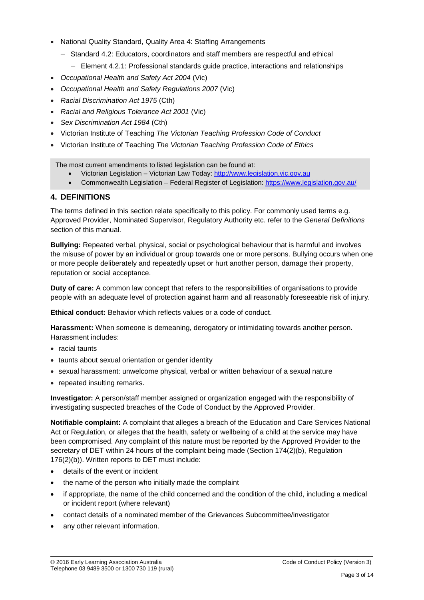- National Quality Standard, Quality Area 4: Staffing Arrangements
	- − Standard 4.2: Educators, coordinators and staff members are respectful and ethical
		- − Element 4.2.1: Professional standards guide practice, interactions and relationships
- *Occupational Health and Safety Act 2004* (Vic)
- *Occupational Health and Safety Regulations 2007* (Vic)
- *Racial Discrimination Act 1975* (Cth)
- *[Racial and Religious Tolerance Act 2001](http://www.legislation.vic.gov.au/Domino/Web_Notes/LDMS/PubLawToday.nsf/a12f6f60fbd56800ca256de500201e54/ab66aeef028f70e7ca2576400082797c%21OpenDocument)* (Vic)
- *Sex Discrimination Act 1984* (Cth)
- Victorian Institute of Teaching *The Victorian Teaching Profession Code of Conduct*
- Victorian Institute of Teaching *The Victorian Teaching Profession Code of Ethics*

The most current amendments to listed legislation can be found at:

- Victorian Legislation Victorian Law Today: [http://www.legislation.vic.gov.au](http://www.legislation.vic.gov.au/)
- Commonwealth Legislation Federal Register of Legislation[: https://www.legislation.gov.au/](https://www.legislation.gov.au/)

# **4. DEFINITIONS**

The terms defined in this section relate specifically to this policy. For commonly used terms e.g. Approved Provider, Nominated Supervisor, Regulatory Authority etc. refer to the *General Definitions* section of this manual.

**Bullying:** Repeated verbal, physical, social or psychological behaviour that is harmful and involves the misuse of power by an individual or group towards one or more persons. Bullying occurs when one or more people deliberately and repeatedly upset or hurt another person, damage their property, reputation or social acceptance.

**Duty of care:** A common law concept that refers to the responsibilities of organisations to provide people with an adequate level of protection against harm and all reasonably foreseeable risk of injury.

**Ethical conduct:** Behavior which reflects values or a code of conduct.

**Harassment:** When someone is demeaning, derogatory or intimidating towards another person. Harassment includes:

- racial taunts
- taunts about sexual orientation or gender identity
- sexual harassment: unwelcome physical, verbal or written behaviour of a sexual nature
- repeated insulting remarks.

**Investigator:** A person/staff member assigned or organization engaged with the responsibility of investigating suspected breaches of the Code of Conduct by the Approved Provider.

**Notifiable complaint:** A complaint that alleges a breach of the Education and Care Services National Act or Regulation, or alleges that the health, safety or wellbeing of a child at the service may have been compromised. Any complaint of this nature must be reported by the Approved Provider to the secretary of DET within 24 hours of the complaint being made (Section 174(2)(b), Regulation 176(2)(b)). Written reports to DET must include:

- details of the event or incident
- the name of the person who initially made the complaint
- if appropriate, the name of the child concerned and the condition of the child, including a medical or incident report (where relevant)
- contact details of a nominated member of the Grievances Subcommittee/investigator
- any other relevant information.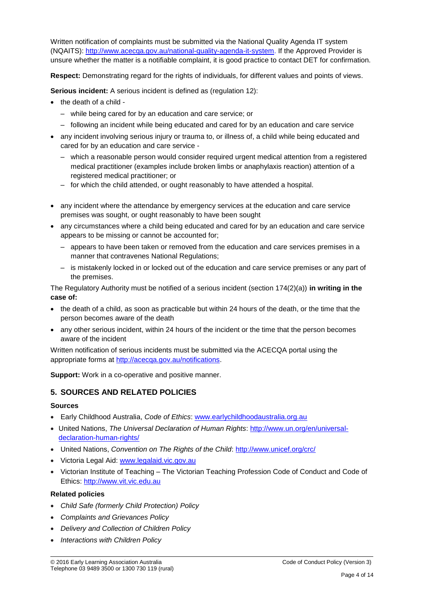Written notification of complaints must be submitted via the National Quality Agenda IT system (NQAITS): [http://www.acecqa.gov.au/national-quality-agenda-it-system.](http://www.acecqa.gov.au/national-quality-agenda-it-system) If the Approved Provider is unsure whether the matter is a notifiable complaint, it is good practice to contact DET for confirmation.

**Respect:** Demonstrating regard for the rights of individuals, for different values and points of views.

**Serious incident:** A serious incident is defined as (regulation 12):

- the death of a child
	- while being cared for by an education and care service; or
	- following an incident while being educated and cared for by an education and care service
- any incident involving serious injury or trauma to, or illness of, a child while being educated and cared for by an education and care service -
	- which a reasonable person would consider required urgent medical attention from a registered medical practitioner (examples include broken limbs or anaphylaxis reaction) attention of a registered medical practitioner; or
	- for which the child attended, or ought reasonably to have attended a hospital.
- any incident where the attendance by emergency services at the education and care service premises was sought, or ought reasonably to have been sought
- any circumstances where a child being educated and cared for by an education and care service appears to be missing or cannot be accounted for;
	- appears to have been taken or removed from the education and care services premises in a manner that contravenes National Regulations;
	- is mistakenly locked in or locked out of the education and care service premises or any part of the premises.

The Regulatory Authority must be notified of a serious incident (section 174(2)(a)) **in writing in the case of:**

- the death of a child, as soon as practicable but within 24 hours of the death, or the time that the person becomes aware of the death
- any other serious incident, within 24 hours of the incident or the time that the person becomes aware of the incident

Written notification of serious incidents must be submitted via the ACECQA portal using the appropriate forms at [http://acecqa.gov.au/notifications.](http://acecqa.gov.au/notifications)

**Support:** Work in a co-operative and positive manner.

## **5. SOURCES AND RELATED POLICIES**

#### **Sources**

- Early Childhood Australia, *Code of Ethics*: [www.earlychildhoodaustralia.org.au](http://www.earlychildhoodaustralia.org.au/)
- United Nations, *The Universal Declaration of Human Rights*: [http://www.un.org/en/universal](http://www.un.org/en/universal-declaration-human-rights/)[declaration-human-rights/](http://www.un.org/en/universal-declaration-human-rights/)
- United Nations, *Convention on The Rights of the Child*:<http://www.unicef.org/crc/>
- Victoria Legal Aid: [www.legalaid.vic.gov.au](http://www.legalaid.vic.gov.au/)
- Victorian Institute of Teaching The Victorian Teaching Profession Code of Conduct and Code of Ethics: [http://www.vit.vic.edu.au](http://www.vit.vic.edu.au/)

#### **Related policies**

- *Child Safe (formerly Child Protection) Policy*
- *Complaints and Grievances Policy*
- *Delivery and Collection of Children Policy*
- *Interactions with Children Policy*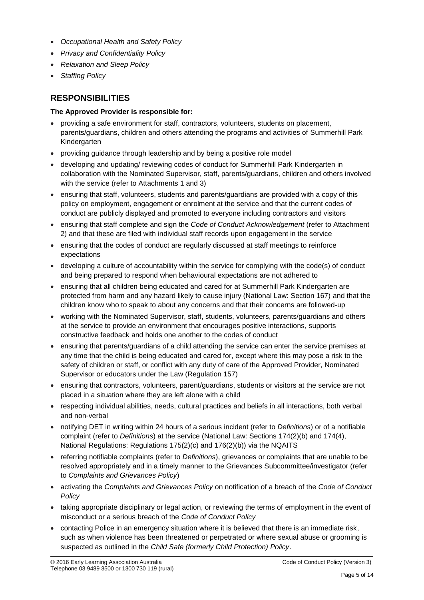- *Occupational Health and Safety Policy*
- *Privacy and Confidentiality Policy*
- *Relaxation and Sleep Policy*
- *Staffing Policy*

## **RESPONSIBILITIES**

#### **The Approved Provider is responsible for:**

- providing a safe environment for staff, contractors, volunteers, students on placement, parents/guardians, children and others attending the programs and activities of Summerhill Park Kindergarten
- providing guidance through leadership and by being a positive role model
- developing and updating/ reviewing codes of conduct for Summerhill Park Kindergarten in collaboration with the Nominated Supervisor, staff, parents/guardians, children and others involved with the service (refer to Attachments 1 and 3)
- ensuring that staff, volunteers, students and parents/guardians are provided with a copy of this policy on employment, engagement or enrolment at the service and that the current codes of conduct are publicly displayed and promoted to everyone including contractors and visitors
- ensuring that staff complete and sign the *Code of Conduct Acknowledgement* (refer to Attachment 2) and that these are filed with individual staff records upon engagement in the service
- ensuring that the codes of conduct are regularly discussed at staff meetings to reinforce expectations
- developing a culture of accountability within the service for complying with the code(s) of conduct and being prepared to respond when behavioural expectations are not adhered to
- ensuring that all children being educated and cared for at Summerhill Park Kindergarten are protected from harm and any hazard likely to cause injury (National Law: Section 167) and that the children know who to speak to about any concerns and that their concerns are followed-up
- working with the Nominated Supervisor, staff, students, volunteers, parents/guardians and others at the service to provide an environment that encourages positive interactions, supports constructive feedback and holds one another to the codes of conduct
- ensuring that parents/guardians of a child attending the service can enter the service premises at any time that the child is being educated and cared for, except where this may pose a risk to the safety of children or staff, or conflict with any duty of care of the Approved Provider, Nominated Supervisor or educators under the Law (Regulation 157)
- ensuring that contractors, volunteers, parent/guardians, students or visitors at the service are not placed in a situation where they are left alone with a child
- respecting individual abilities, needs, cultural practices and beliefs in all interactions, both verbal and non-verbal
- notifying DET in writing within 24 hours of a serious incident (refer to *Definitions*) or of a notifiable complaint (refer to *Definitions*) at the service (National Law: Sections 174(2)(b) and 174(4), National Regulations: Regulations 175(2)(c) and 176(2)(b)) via the NQAITS
- referring notifiable complaints (refer to *Definitions*), grievances or complaints that are unable to be resolved appropriately and in a timely manner to the Grievances Subcommittee/investigator (refer to *Complaints and Grievances Policy*)
- activating the *Complaints and Grievances Policy* on notification of a breach of the *Code of Conduct Policy*
- taking appropriate disciplinary or legal action, or reviewing the terms of employment in the event of misconduct or a serious breach of the *Code of Conduct Policy*
- contacting Police in an emergency situation where it is believed that there is an immediate risk, such as when violence has been threatened or perpetrated or where sexual abuse or grooming is suspected as outlined in the *Child Safe (formerly Child Protection) Policy*.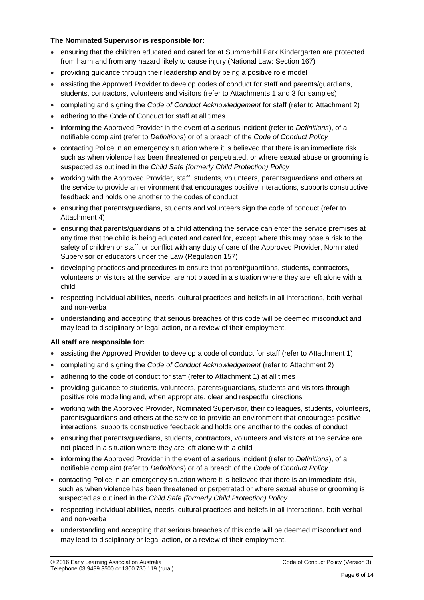#### **The Nominated Supervisor is responsible for:**

- ensuring that the children educated and cared for at Summerhill Park Kindergarten are protected from harm and from any hazard likely to cause injury (National Law: Section 167)
- providing guidance through their leadership and by being a positive role model
- assisting the Approved Provider to develop codes of conduct for staff and parents/guardians, students, contractors, volunteers and visitors (refer to Attachments 1 and 3 for samples)
- completing and signing the *Code of Conduct Acknowledgement* for staff (refer to Attachment 2)
- adhering to the Code of Conduct for staff at all times
- informing the Approved Provider in the event of a serious incident (refer to *Definitions*), of a notifiable complaint (refer to *Definitions*) or of a breach of the *Code of Conduct Policy*
- contacting Police in an emergency situation where it is believed that there is an immediate risk, such as when violence has been threatened or perpetrated, or where sexual abuse or grooming is suspected as outlined in the *Child Safe (formerly Child Protection) Policy*
- working with the Approved Provider, staff, students, volunteers, parents/guardians and others at the service to provide an environment that encourages positive interactions, supports constructive feedback and holds one another to the codes of conduct
- ensuring that parents/guardians, students and volunteers sign the code of conduct (refer to Attachment 4)
- ensuring that parents/guardians of a child attending the service can enter the service premises at any time that the child is being educated and cared for, except where this may pose a risk to the safety of children or staff, or conflict with any duty of care of the Approved Provider, Nominated Supervisor or educators under the Law (Regulation 157)
- developing practices and procedures to ensure that parent/guardians, students, contractors, volunteers or visitors at the service, are not placed in a situation where they are left alone with a child
- respecting individual abilities, needs, cultural practices and beliefs in all interactions, both verbal and non-verbal
- understanding and accepting that serious breaches of this code will be deemed misconduct and may lead to disciplinary or legal action, or a review of their employment.

#### **All staff are responsible for:**

- assisting the Approved Provider to develop a code of conduct for staff (refer to Attachment 1)
- completing and signing the *Code of Conduct Acknowledgement* (refer to Attachment 2)
- adhering to the code of conduct for staff (refer to Attachment 1) at all times
- providing guidance to students, volunteers, parents/guardians, students and visitors through positive role modelling and, when appropriate, clear and respectful directions
- working with the Approved Provider, Nominated Supervisor, their colleagues, students, volunteers, parents/guardians and others at the service to provide an environment that encourages positive interactions, supports constructive feedback and holds one another to the codes of conduct
- ensuring that parents/guardians, students, contractors, volunteers and visitors at the service are not placed in a situation where they are left alone with a child
- informing the Approved Provider in the event of a serious incident (refer to *Definitions*), of a notifiable complaint (refer to *Definitions*) or of a breach of the *Code of Conduct Policy*
- contacting Police in an emergency situation where it is believed that there is an immediate risk, such as when violence has been threatened or perpetrated or where sexual abuse or grooming is suspected as outlined in the *Child Safe (formerly Child Protection) Policy*.
- respecting individual abilities, needs, cultural practices and beliefs in all interactions, both verbal and non-verbal
- understanding and accepting that serious breaches of this code will be deemed misconduct and may lead to disciplinary or legal action, or a review of their employment.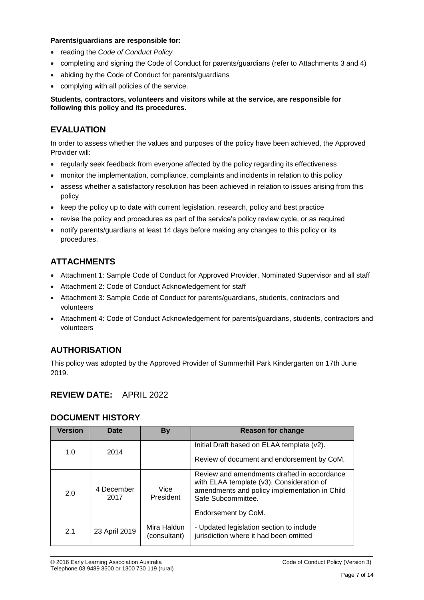#### **Parents/guardians are responsible for:**

- reading the *Code of Conduct Policy*
- completing and signing the Code of Conduct for parents/guardians (refer to Attachments 3 and 4)
- abiding by the Code of Conduct for parents/guardians
- complying with all policies of the service.

#### **Students, contractors, volunteers and visitors while at the service, are responsible for following this policy and its procedures.**

## **EVALUATION**

In order to assess whether the values and purposes of the policy have been achieved, the Approved Provider will:

- regularly seek feedback from everyone affected by the policy regarding its effectiveness
- monitor the implementation, compliance, complaints and incidents in relation to this policy
- assess whether a satisfactory resolution has been achieved in relation to issues arising from this policy
- keep the policy up to date with current legislation, research, policy and best practice
- revise the policy and procedures as part of the service's policy review cycle, or as required
- notify parents/guardians at least 14 days before making any changes to this policy or its procedures.

## **ATTACHMENTS**

- Attachment 1: Sample Code of Conduct for Approved Provider, Nominated Supervisor and all staff
- Attachment 2: Code of Conduct Acknowledgement for staff
- Attachment 3: Sample Code of Conduct for parents/guardians, students, contractors and volunteers
- Attachment 4: Code of Conduct Acknowledgement for parents/guardians, students, contractors and volunteers

## **AUTHORISATION**

This policy was adopted by the Approved Provider of Summerhill Park Kindergarten on 17th June 2019.

## **REVIEW DATE:** APRIL 2022

## **DOCUMENT HISTORY**

| <b>Version</b> | Date               | <b>By</b>                   | Reason for change                                                                                                                                                                      |
|----------------|--------------------|-----------------------------|----------------------------------------------------------------------------------------------------------------------------------------------------------------------------------------|
| 1.0            | 2014               |                             | Initial Draft based on ELAA template (v2).                                                                                                                                             |
|                |                    |                             | Review of document and endorsement by CoM.                                                                                                                                             |
| 2.0            | 4 December<br>2017 | Vice<br>President           | Review and amendments drafted in accordance<br>with ELAA template (v3). Consideration of<br>amendments and policy implementation in Child<br>Safe Subcommittee.<br>Endorsement by CoM. |
| 2.1            | 23 April 2019      | Mira Haldun<br>(consultant) | - Updated legislation section to include<br>jurisdiction where it had been omitted                                                                                                     |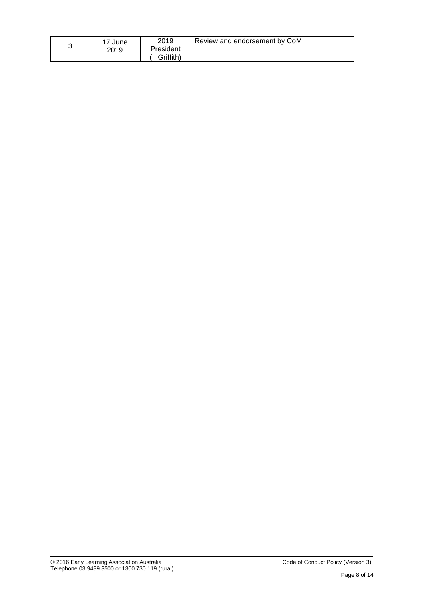|  | 17 June<br>2019 | 2019<br>President<br>Griffith) | Review and endorsement by CoM |
|--|-----------------|--------------------------------|-------------------------------|
|--|-----------------|--------------------------------|-------------------------------|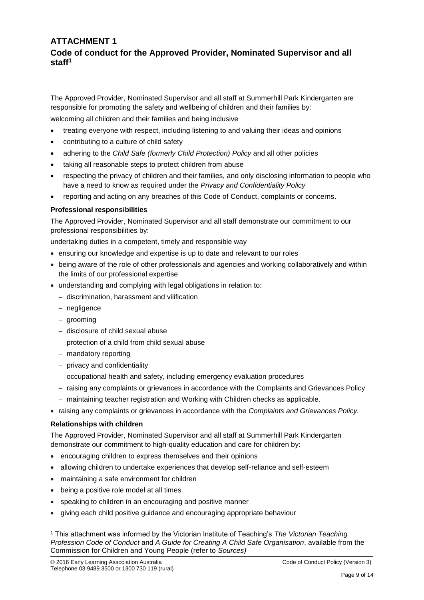## **ATTACHMENT 1 Code of conduct for the Approved Provider, Nominated Supervisor and all staff<sup>1</sup>**

The Approved Provider, Nominated Supervisor and all staff at Summerhill Park Kindergarten are responsible for promoting the safety and wellbeing of children and their families by: welcoming all children and their families and being inclusive

- treating everyone with respect, including listening to and valuing their ideas and opinions
- contributing to a culture of child safety
- adhering to the *Child Safe (formerly Child Protection) Policy* and all other policies
- taking all reasonable steps to protect children from abuse
- respecting the privacy of children and their families, and only disclosing information to people who have a need to know as required under the *Privacy and Confidentiality Policy*
- reporting and acting on any breaches of this Code of Conduct, complaints or concerns.

#### **Professional responsibilities**

The Approved Provider, Nominated Supervisor and all staff demonstrate our commitment to our professional responsibilities by:

undertaking duties in a competent, timely and responsible way

- ensuring our knowledge and expertise is up to date and relevant to our roles
- being aware of the role of other professionals and agencies and working collaboratively and within the limits of our professional expertise
- understanding and complying with legal obligations in relation to:
	- − discrimination, harassment and vilification
	- − negligence
	- − grooming
	- − disclosure of child sexual abuse
	- − protection of a child from child sexual abuse
	- − mandatory reporting
	- − privacy and confidentiality
	- − occupational health and safety, including emergency evaluation procedures
	- − raising any complaints or grievances in accordance with the Complaints and Grievances Policy
	- − maintaining teacher registration and Working with Children checks as applicable.
- raising any complaints or grievances in accordance with the *Complaints and Grievances Policy.*

#### **Relationships with children**

 $\overline{a}$ 

The Approved Provider, Nominated Supervisor and all staff at Summerhill Park Kindergarten demonstrate our commitment to high-quality education and care for children by:

- encouraging children to express themselves and their opinions
- allowing children to undertake experiences that develop self-reliance and self-esteem
- maintaining a safe environment for children
- being a positive role model at all times
- speaking to children in an encouraging and positive manner
- giving each child positive guidance and encouraging appropriate behaviour

<sup>1</sup> This attachment was informed by the Victorian Institute of Teaching's *The Victorian Teaching Profession Code of Conduct* and *A Guide for Creating A Child Safe Organisation*, available from the Commission for Children and Young People (refer to *Sources)*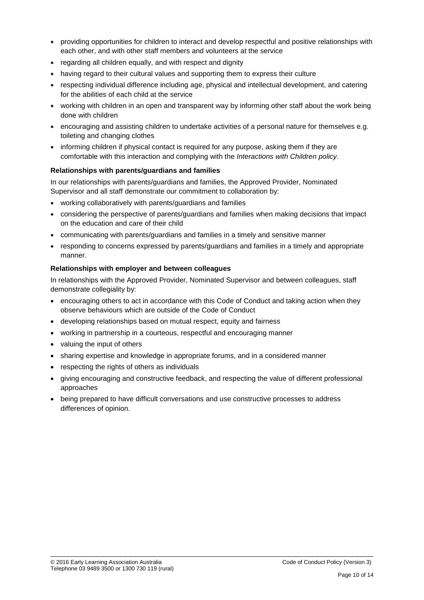- providing opportunities for children to interact and develop respectful and positive relationships with each other, and with other staff members and volunteers at the service
- regarding all children equally, and with respect and dignity
- having regard to their cultural values and supporting them to express their culture
- respecting individual difference including age, physical and intellectual development, and catering for the abilities of each child at the service
- working with children in an open and transparent way by informing other staff about the work being done with children
- encouraging and assisting children to undertake activities of a personal nature for themselves e.g. toileting and changing clothes
- informing children if physical contact is required for any purpose, asking them if they are comfortable with this interaction and complying with the *Interactions with Children policy*.

#### **Relationships with parents/guardians and families**

In our relationships with parents/guardians and families, the Approved Provider, Nominated Supervisor and all staff demonstrate our commitment to collaboration by:

- working collaboratively with parents/guardians and families
- considering the perspective of parents/guardians and families when making decisions that impact on the education and care of their child
- communicating with parents/guardians and families in a timely and sensitive manner
- responding to concerns expressed by parents/guardians and families in a timely and appropriate manner.

#### **Relationships with employer and between colleagues**

In relationships with the Approved Provider, Nominated Supervisor and between colleagues, staff demonstrate collegiality by:

- encouraging others to act in accordance with this Code of Conduct and taking action when they observe behaviours which are outside of the Code of Conduct
- developing relationships based on mutual respect, equity and fairness
- working in partnership in a courteous, respectful and encouraging manner
- valuing the input of others
- sharing expertise and knowledge in appropriate forums, and in a considered manner
- respecting the rights of others as individuals
- giving encouraging and constructive feedback, and respecting the value of different professional approaches
- being prepared to have difficult conversations and use constructive processes to address differences of opinion.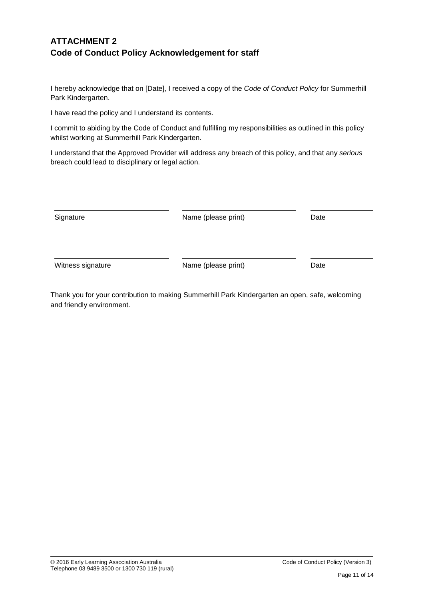## **ATTACHMENT 2 Code of Conduct Policy Acknowledgement for staff**

I hereby acknowledge that on [Date], I received a copy of the *Code of Conduct Policy* for Summerhill Park Kindergarten.

I have read the policy and I understand its contents.

I commit to abiding by the Code of Conduct and fulfilling my responsibilities as outlined in this policy whilst working at Summerhill Park Kindergarten.

I understand that the Approved Provider will address any breach of this policy, and that any *serious* breach could lead to disciplinary or legal action.

| Signature         | Name (please print) | Date |
|-------------------|---------------------|------|
| Witness signature | Name (please print) | Date |

Thank you for your contribution to making Summerhill Park Kindergarten an open, safe, welcoming and friendly environment.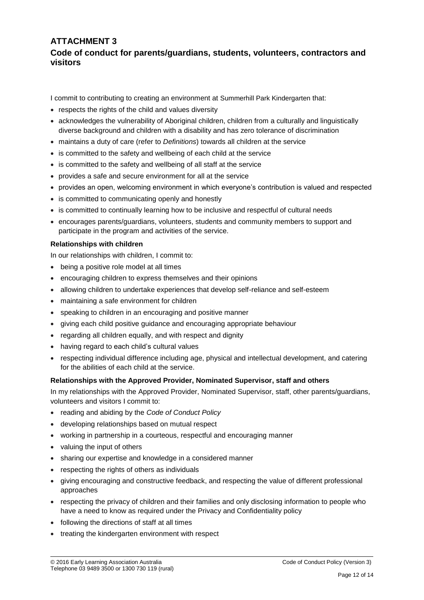## **ATTACHMENT 3 Code of conduct for parents/guardians, students, volunteers, contractors and visitors**

I commit to contributing to creating an environment at Summerhill Park Kindergarten that:

- respects the rights of the child and values diversity
- acknowledges the vulnerability of Aboriginal children, children from a culturally and linguistically diverse background and children with a disability and has zero tolerance of discrimination
- maintains a duty of care (refer to *Definitions*) towards all children at the service
- is committed to the safety and wellbeing of each child at the service
- is committed to the safety and wellbeing of all staff at the service
- provides a safe and secure environment for all at the service
- provides an open, welcoming environment in which everyone's contribution is valued and respected
- is committed to communicating openly and honestly
- is committed to continually learning how to be inclusive and respectful of cultural needs
- encourages parents/guardians, volunteers, students and community members to support and participate in the program and activities of the service.

#### **Relationships with children**

In our relationships with children, I commit to:

- being a positive role model at all times
- encouraging children to express themselves and their opinions
- allowing children to undertake experiences that develop self-reliance and self-esteem
- maintaining a safe environment for children
- speaking to children in an encouraging and positive manner
- giving each child positive guidance and encouraging appropriate behaviour
- regarding all children equally, and with respect and dignity
- having regard to each child's cultural values
- respecting individual difference including age, physical and intellectual development, and catering for the abilities of each child at the service.

#### **Relationships with the Approved Provider, Nominated Supervisor, staff and others**

In my relationships with the Approved Provider, Nominated Supervisor, staff, other parents/guardians, volunteers and visitors I commit to:

- reading and abiding by the *Code of Conduct Policy*
- developing relationships based on mutual respect
- working in partnership in a courteous, respectful and encouraging manner
- valuing the input of others
- sharing our expertise and knowledge in a considered manner
- respecting the rights of others as individuals
- giving encouraging and constructive feedback, and respecting the value of different professional approaches
- respecting the privacy of children and their families and only disclosing information to people who have a need to know as required under the Privacy and Confidentiality policy
- following the directions of staff at all times
- treating the kindergarten environment with respect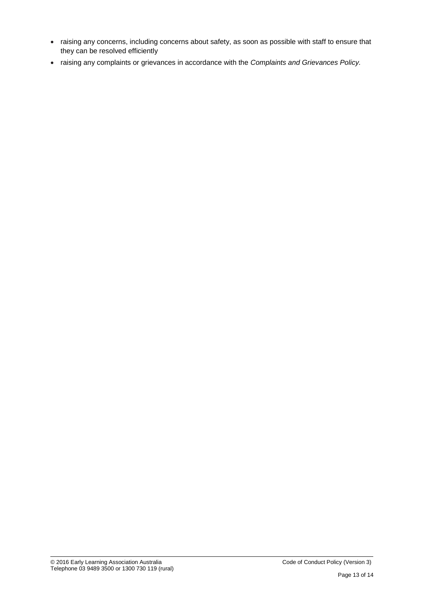- raising any concerns, including concerns about safety, as soon as possible with staff to ensure that they can be resolved efficiently
- raising any complaints or grievances in accordance with the *Complaints and Grievances Policy.*